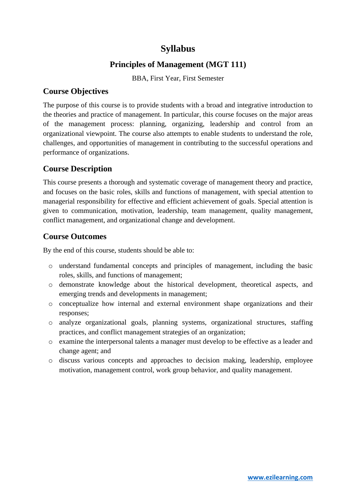# **Syllabus**

# **Principles of Management (MGT 111)**

BBA, First Year, First Semester

# **Course Objectives**

The purpose of this course is to provide students with a broad and integrative introduction to the theories and practice of management. In particular, this course focuses on the major areas of the management process: planning, organizing, leadership and control from an organizational viewpoint. The course also attempts to enable students to understand the role, challenges, and opportunities of management in contributing to the successful operations and performance of organizations.

# **Course Description**

This course presents a thorough and systematic coverage of management theory and practice, and focuses on the basic roles, skills and functions of management, with special attention to managerial responsibility for effective and efficient achievement of goals. Special attention is given to communication, motivation, leadership, team management, quality management, conflict management, and organizational change and development.

# **Course Outcomes**

By the end of this course, students should be able to:

- o understand fundamental concepts and principles of management, including the basic roles, skills, and functions of management;
- o demonstrate knowledge about the historical development, theoretical aspects, and emerging trends and developments in management;
- o conceptualize how internal and external environment shape organizations and their responses;
- o analyze organizational goals, planning systems, organizational structures, staffing practices, and conflict management strategies of an organization;
- o examine the interpersonal talents a manager must develop to be effective as a leader and change agent; and
- o discuss various concepts and approaches to decision making, leadership, employee motivation, management control, work group behavior, and quality management.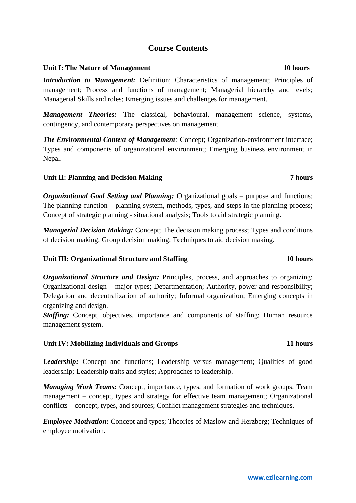# **Course Contents**

### Unit I: The Nature of Management **10 hours 10 hours**

*Introduction to Management:* Definition; Characteristics of management; Principles of management; Process and functions of management; Managerial hierarchy and levels; Managerial Skills and roles; Emerging issues and challenges for management.

*Management Theories:* The classical, behavioural, management science, systems, contingency, and contemporary perspectives on management.

**The Environmental Context of Management**: Concept; Organization-environment interface; Types and components of organizational environment; Emerging business environment in Nepal.

## Unit II: Planning and Decision Making **7 hours 7 hours**

*Organizational Goal Setting and Planning:* Organizational goals – purpose and functions; The planning function – planning system, methods, types, and steps in the planning process; Concept of strategic planning - situational analysis; Tools to aid strategic planning.

*Managerial Decision Making:* Concept; The decision making process; Types and conditions of decision making; Group decision making; Techniques to aid decision making.

## **Unit III: Organizational Structure and Staffing 10 hours**

*Organizational Structure and Design:* Principles, process, and approaches to organizing; Organizational design – major types; Departmentation; Authority, power and responsibility; Delegation and decentralization of authority; Informal organization; Emerging concepts in organizing and design.

*Staffing:* Concept, objectives, importance and components of staffing; Human resource management system.

### **Unit IV: Mobilizing Individuals and Groups 11 hours**

*Leadership:* Concept and functions; Leadership versus management; Qualities of good leadership; Leadership traits and styles; Approaches to leadership.

*Managing Work Teams:* Concept, importance, types, and formation of work groups; Team management – concept, types and strategy for effective team management; Organizational conflicts – concept, types, and sources; Conflict management strategies and techniques.

*Employee Motivation:* Concept and types; Theories of Maslow and Herzberg; Techniques of employee motivation.